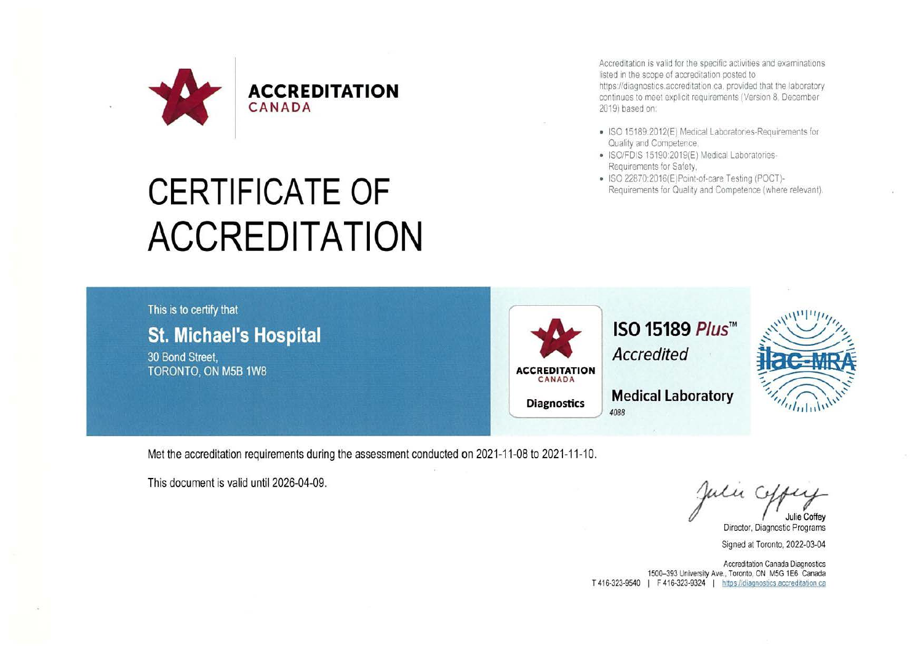

**ACCREDITATION** 

Accreditation is valid for the specific activities and examinations listed in the scope of accreditation posted to https://diagnostics.accreditation.ca. provided that the laboratory continues to meet explicit requirements (Version 8, December 2019) based on.

- ISO 15189.2012(E) Medical Laboratories-Requirements for Quality and Competence.
- ISO/FDIS 15190 2019(E) Medical Laboratories-Requirements for Safety,
- ISO 22870:2016{E)Point-of-care Testing (POCT)- Requirements for Quality and Competence (where relevant).



Met the accreditation requirements during the assessment conducted on 2021-11-08 to 2021-11-10.

This document is valid until 2026-04-09.

Juli<br>Dire

Signed at Toronto, 2022-03-04

Accreditation Canada Diagnostics 1500-393 University Ave., Toronto, ON M5G 1E6 Canada T 416-323-9540 | F 416-323-9324 | https://diagnostics.accreditation.ca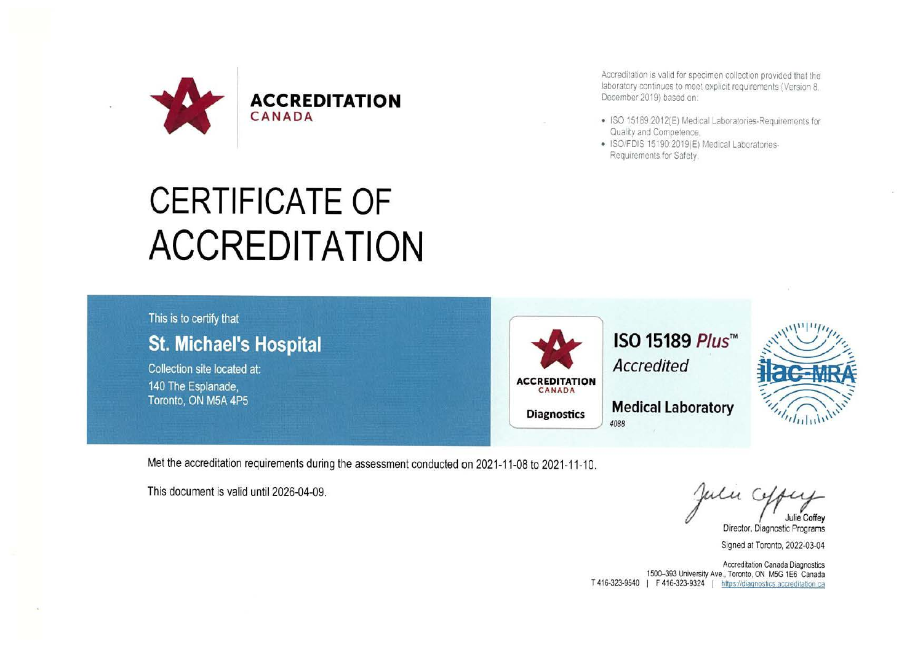

Accreditation is valid for specimen collection provided that the laboratory continues to meet explicit requirements (Version 8. December 2019) based on:

- ISO 15189:2012(E) Medical Laboratories-Requirements for Quality and Competence,
- ISO/FDIS 15190:2019(E) Medical Laboratories-Requirements for Safety,

## This is to certify that **St. Michael's Hospital**  Collection site located at: 140 The Esplanade, Toronto, ON MSA 4P5 **ACCREDITATION ACCREDITATION Diagnostics ISO 15189 Plus™ Accredited Medical Laboratory**  *088*   $\eta^{11}$ <sup>11</sup>/1, ,'\ ' *I fl,-* ..\_,'\. ~ *1/;\_,.* ~,......\_\_\_...,.//,. **THE MILLIPS OF THE ATT flac-MRA** #**ac=MRA**  $\mathcal{L}(\mathcal{D})$ Medical Laboratory

Met the accreditation requirements during the assessment conducted on 2021-11-08 to 2021-11-10.

Met the accreditation requirements during the assessment conducted on 2021-11-08 to 2021-11-10.<br>This document is valid until 2026-04-09.<br>Director, Diagnostic Programs

Director, Diagnostic Programs

Signed at Toronto, 2022-03-04

Accreditation Canada Diagnostics 1500-393 University Ave., Toronto, ON MSG 1E6 Canada T 416-323-9540 I F 416-323-9324 I https://diagnostics accreditation ca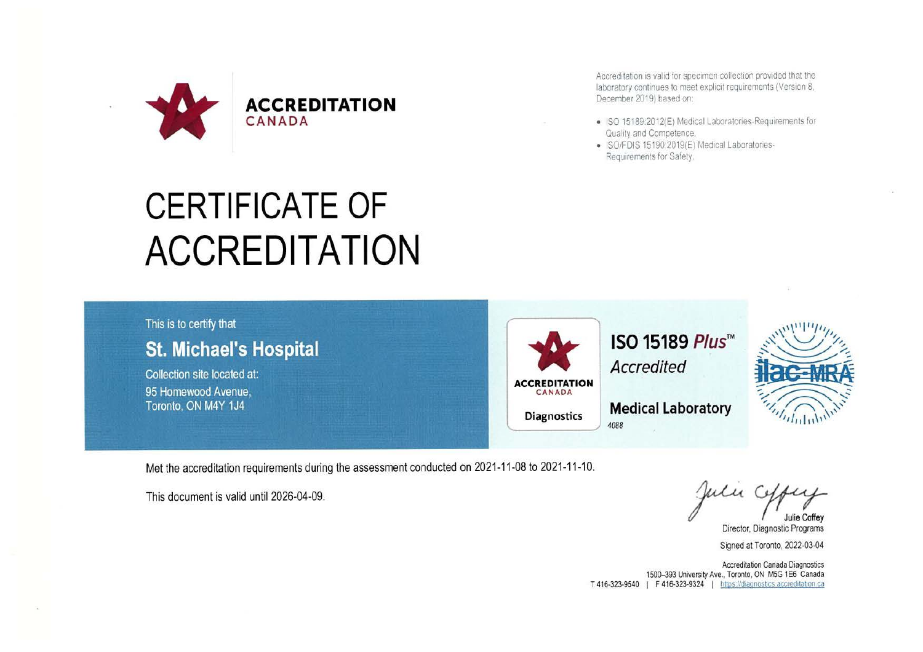

## **CERTIFICATE OF ACCREDITATION**

## Accreditation is valid for specimen collection provided that the laboratory continues to meet explicit requirements (Version 8, December 2019) based on:

- ISO 15189:2012(E) Medical Laboratories-Requirements for Quality and Competence,
- ISOIFOIS 15190 2019(E) Medical Laboratories-Requirements for Safety.



Met the accreditation requirements during the assessment conducted on 2021-11-08 to 2021-11-10.<br>
This document is valid until 2026-04-09.<br>
Dire

*Julie Coffey* 

Director, Diagnostic Programs

Signed at Toronto, 2022-03-04

Accreditation Canada Diagnostics 1500-393 University Ave., Toronto, ON M5G 1E6 Canada T 416-323-9540 I F 416-323-9324 I nttps1/diaqnostics accreditabon ca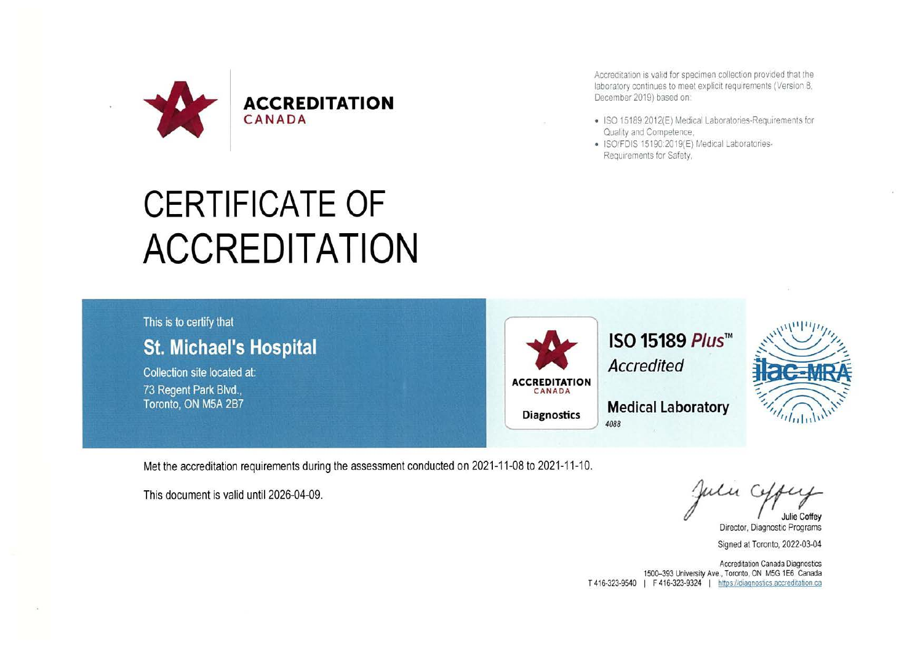

Accreditation is valid for specimen collection provided that the laboratory continues to meet explicit requirements (Version 8. December 2019) based on:

- ISO 15189:2012(E) Medical laboratories-Requirements for Quality and Competence.
- ISO/FDIS 15190 2019(E) Medical Laboratories-Requirements for Safety,



Met the accreditation requirements during the assessment conducted on 2021-11-08 to 2021-11-10.

Met the accreditation requirements during the assessment conducted on 2021-11-08 to 2021-11-10.<br>This document is valid until 2026-04-09.<br>Director, Diagnostic Programs

Director, Diagnostic Programs

Signed at Toronto, 2022-03-04

Accreditation Canada Diagnostics 1500-393 University Ave., Toronto, ON M5G 1E6 Canada T 416-323-9540 | F 416-323-9324 | https://diagnostics.accreditation.ca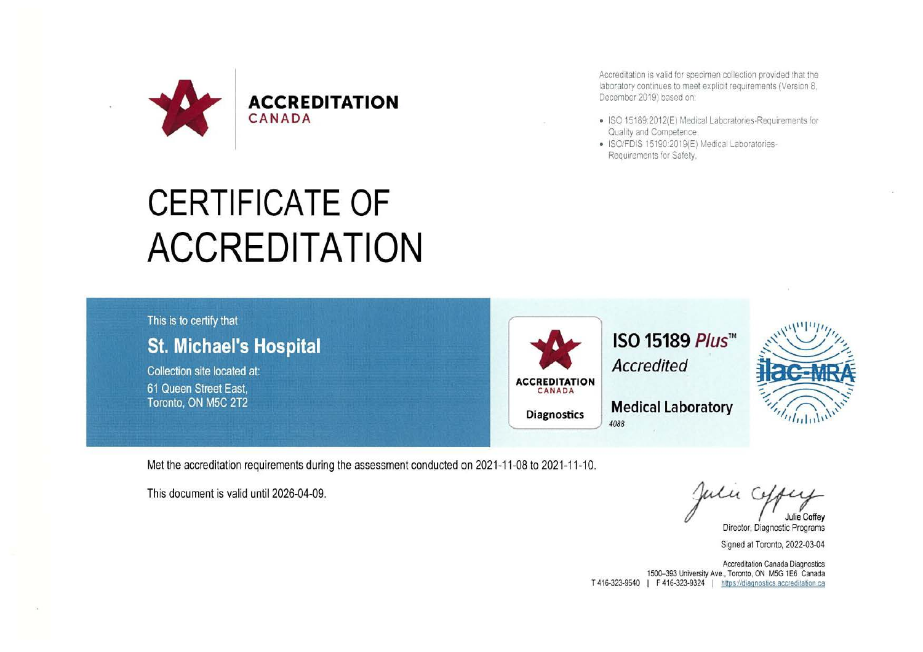

**ACCREDITATION** 

Accreditation is valid for specimen collection provided that the laboratory continues to meet explicit requirements (Version 8) December 2019) based on:

- ISO 15189:2012(E) Medical Laboratories-Requirements for Quality and Competence,
- ISO/FDIS 15190:2019(E) Medical Laboratories-Requirements for Safety.



Met the accreditation requirements during the assessment conducted on 2021-11-08 to 2021-11-10.<br>
This document is valid until 2026-04-09.<br>
Director, Diagnostic Programs

Director, Diagnostic Programs

Signed at Toronto, 2022-03-04

Accreditation Canada Diagnostics 1500-393 University Ave., Torooto, ON MSG 1E6 Canada T 416-323-9540 | F 416-323-9324 | https://diagnostics.accreditation.ca